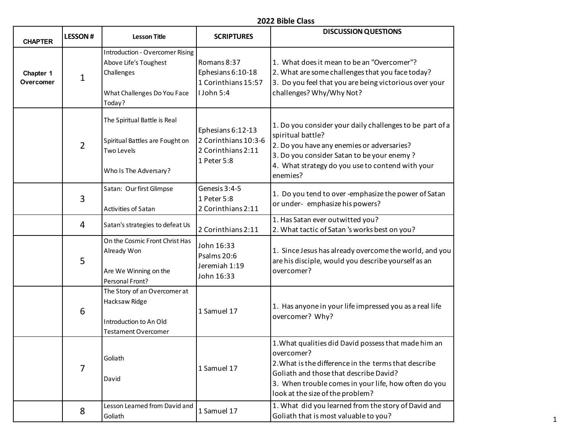| <b>CHAPTER</b>                | <b>LESSON#</b> | <b>Lesson Title</b>                                                                                             | <b>SCRIPTURES</b>                                                              | <b>DISCUSSION QUESTIONS</b>                                                                                                                                                                                                                                      |
|-------------------------------|----------------|-----------------------------------------------------------------------------------------------------------------|--------------------------------------------------------------------------------|------------------------------------------------------------------------------------------------------------------------------------------------------------------------------------------------------------------------------------------------------------------|
| Chapter 1<br><b>Overcomer</b> | $\mathbf{1}$   | Introduction - Overcomer Rising<br>Above Life's Toughest<br>Challenges<br>What Challenges Do You Face<br>Today? | Romans 8:37<br>Ephesians 6:10-18<br>1 Corinthians 15:57<br>I John 5:4          | 1. What does it mean to be an "Overcomer"?<br>2. What are some challenges that you face today?<br>3. Do you feel that you are being victorious over your<br>challenges? Why/Why Not?                                                                             |
|                               | $\overline{2}$ | The Spiritual Battle is Real<br>Spiritual Battles are Fought on<br><b>Two Levels</b><br>Who Is The Adversary?   | Ephesians 6:12-13<br>2 Corinthians 10:3-6<br>2 Corinthians 2:11<br>1 Peter 5:8 | 1. Do you consider your daily challenges to be part of a<br>spiritual battle?<br>2. Do you have any enemies or adversaries?<br>3. Do you consider Satan to be your enemy?<br>4. What strategy do you use to contend with your<br>enemies?                        |
|                               | 3              | Satan: Our first Glimpse<br>Activities of Satan                                                                 | Genesis 3:4-5<br>1 Peter 5:8<br>2 Corinthians 2:11                             | 1. Do you tend to over -emphasize the power of Satan<br>or under-emphasize his powers?                                                                                                                                                                           |
|                               | 4              | Satan's strategies to defeat Us                                                                                 | 2 Corinthians 2:11                                                             | 1. Has Satan ever outwitted you?<br>2. What tactic of Satan 's works best on you?                                                                                                                                                                                |
|                               | 5              | On the Cosmic Front Christ Has<br>Already Won<br>Are We Winning on the<br>Personal Front?                       | John 16:33<br>Psalms 20:6<br>Jeremiah 1:19<br>John 16:33                       | 1. Since Jesus has already overcome the world, and you<br>are his disciple, would you describe yourself as an<br>overcomer?                                                                                                                                      |
|                               | 6              | The Story of an Overcomer at<br>Hacksaw Ridge<br>Introduction to An Old<br><b>Testament Overcomer</b>           | 1 Samuel 17                                                                    | 1. Has anyone in your life impressed you as a real life<br>overcomer? Why?                                                                                                                                                                                       |
|                               | 7              | Goliath<br>David                                                                                                | 1 Samuel 17                                                                    | 1. What qualities did David possess that made him an<br>overcomer?<br>2. What is the difference in the terms that describe<br>Goliath and those that describe David?<br>3. When trouble comes in your life, how often do you<br>look at the size of the problem? |
|                               | 8              | Lesson Learned from David and<br>Goliath                                                                        | 1 Samuel 17                                                                    | 1. What did you learned from the story of David and<br>Goliath that is most valuable to you?                                                                                                                                                                     |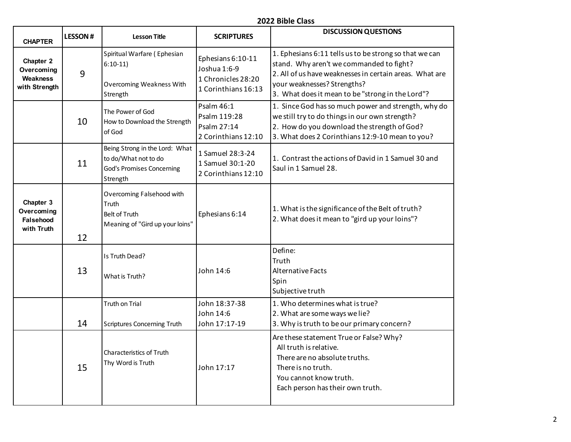| <b>CHAPTER</b>                                            | <b>LESSON#</b> | <b>Lesson Title</b>                                                                                    | <b>SCRIPTURES</b>                                                              | <b>DISCUSSION QUESTIONS</b>                                                                                                                                                                                                                      |
|-----------------------------------------------------------|----------------|--------------------------------------------------------------------------------------------------------|--------------------------------------------------------------------------------|--------------------------------------------------------------------------------------------------------------------------------------------------------------------------------------------------------------------------------------------------|
| Chapter 2<br>Overcoming<br>Weakness<br>with Strength      | 9              | Spiritual Warfare (Ephesian<br>$6:10-11$<br><b>Overcoming Weakness With</b><br>Strength                | Ephesians 6:10-11<br>Joshua 1:6-9<br>1 Chronicles 28:20<br>1 Corinthians 16:13 | 1. Ephesians 6:11 tells us to be strong so that we can<br>stand. Why aren't we commanded to fight?<br>2. All of us have weaknesses in certain areas. What are<br>your weaknesses? Strengths?<br>3. What does it mean to be "strong in the Lord"? |
|                                                           | 10             | The Power of God<br>How to Download the Strength<br>of God                                             | Psalm 46:1<br>Psalm 119:28<br>Psalm 27:14<br>2 Corinthians 12:10               | 1. Since God has so much power and strength, why do<br>we still try to do things in our own strength?<br>2. How do you download the strength of God?<br>3. What does 2 Corinthians 12:9-10 mean to you?                                          |
|                                                           | 11             | Being Strong in the Lord: What<br>to do/What not to do<br><b>God's Promises Concerning</b><br>Strength | 1 Samuel 28:3-24<br>1 Samuel 30:1-20<br>2 Corinthians 12:10                    | 1. Contrast the actions of David in 1 Samuel 30 and<br>Saul in 1 Samuel 28.                                                                                                                                                                      |
| Chapter 3<br>Overcoming<br><b>Falsehood</b><br>with Truth | 12             | Overcoming Falsehood with<br>Truth<br><b>Belt of Truth</b><br>Meaning of "Gird up your loins"          | Ephesians 6:14                                                                 | 1. What is the significance of the Belt of truth?<br>2. What does it mean to "gird up your loins"?                                                                                                                                               |
|                                                           | 13             | Is Truth Dead?<br>What is Truth?                                                                       | John 14:6                                                                      | Define:<br>Truth<br><b>Alternative Facts</b><br>Spin<br>Subjective truth                                                                                                                                                                         |
|                                                           | 14             | <b>Truth on Trial</b><br><b>Scriptures Concerning Truth</b>                                            | John 18:37-38<br>John 14:6<br>John 17:17-19                                    | 1. Who determines what is true?<br>2. What are some ways we lie?<br>3. Why is truth to be our primary concern?                                                                                                                                   |
|                                                           | 15             | Characteristics of Truth<br>Thy Word is Truth                                                          | John 17:17                                                                     | Are these statement True or False? Why?<br>All truth is relative.<br>There are no absolute truths.<br>There is no truth.<br>You cannot know truth.<br>Each person has their own truth.                                                           |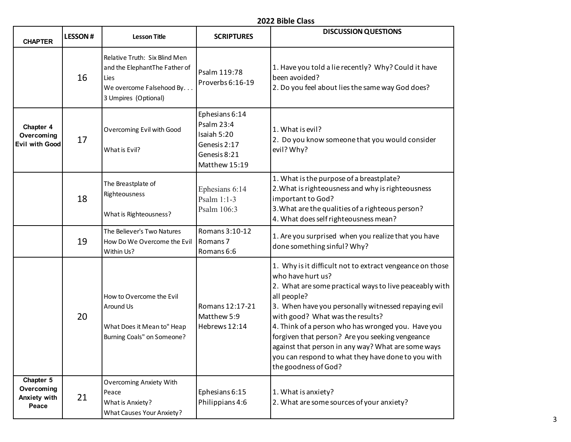| <b>CHAPTER</b>                                   | <b>LESSON#</b> | <b>Lesson Title</b>                                                                                                         | <b>SCRIPTURES</b>                                                                            | <b>DISCUSSION QUESTIONS</b>                                                                                                                                                                                                                                                                                                                                                                                                                                                                    |
|--------------------------------------------------|----------------|-----------------------------------------------------------------------------------------------------------------------------|----------------------------------------------------------------------------------------------|------------------------------------------------------------------------------------------------------------------------------------------------------------------------------------------------------------------------------------------------------------------------------------------------------------------------------------------------------------------------------------------------------------------------------------------------------------------------------------------------|
|                                                  | 16             | Relative Truth: Six Blind Men<br>and the ElephantThe Father of<br>Lies<br>We overcome Falsehood By.<br>3 Umpires (Optional) | Psalm 119:78<br>Proverbs 6:16-19                                                             | 1. Have you told a lie recently? Why? Could it have<br>been avoided?<br>2. Do you feel about lies the same way God does?                                                                                                                                                                                                                                                                                                                                                                       |
| Chapter 4<br>Overcoming<br><b>Evil with Good</b> | 17             | Overcoming Evil with Good<br>What is Evil?                                                                                  | Ephesians 6:14<br>Psalm 23:4<br>Isaiah 5:20<br>Genesis 2:17<br>Genesis 8:21<br>Matthew 15:19 | 1. What is evil?<br>2. Do you know someone that you would consider<br>evil? Why?                                                                                                                                                                                                                                                                                                                                                                                                               |
|                                                  | 18             | The Breastplate of<br>Righteousness<br>What is Righteousness?                                                               | Ephesians 6:14<br>Psalm 1:1-3<br>Psalm 106:3                                                 | 1. What is the purpose of a breastplate?<br>2. What is righteousness and why is righteousness<br>important to God?<br>3. What are the qualities of a righteous person?<br>4. What does self righteousness mean?                                                                                                                                                                                                                                                                                |
|                                                  | 19             | The Believer's Two Natures<br>How Do We Overcome the Evil<br>Within Us?                                                     | Romans 3:10-12<br>Romans <sub>7</sub><br>Romans 6:6                                          | 1. Are you surprised when you realize that you have<br>done something sinful? Why?                                                                                                                                                                                                                                                                                                                                                                                                             |
|                                                  | 20             | How to Overcome the Evil<br>Around Us<br>What Does it Mean to" Heap<br>Burning Coals" on Someone?                           | Romans 12:17-21<br>Matthew 5:9<br>Hebrews 12:14                                              | 1. Why is it difficult not to extract vengeance on those<br>who have hurt us?<br>2. What are some practical ways to live peaceably with<br>all people?<br>3. When have you personally witnessed repaying evil<br>with good? What was the results?<br>4. Think of a person who has wronged you. Have you<br>forgiven that person? Are you seeking vengeance<br>against that person in any way? What are some ways<br>you can respond to what they have done to you with<br>the goodness of God? |
| Chapter 5<br>Overcoming<br>Anxiety with<br>Peace | 21             | <b>Overcoming Anxiety With</b><br>Peace<br>What is Anxiety?<br>What Causes Your Anxiety?                                    | Ephesians 6:15<br>Philippians 4:6                                                            | 1. What is anxiety?<br>2. What are some sources of your anxiety?                                                                                                                                                                                                                                                                                                                                                                                                                               |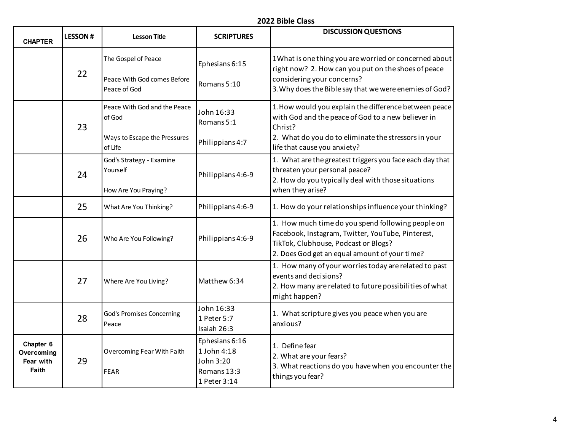| <b>CHAPTER</b>                                | <b>LESSON#</b> | <b>Lesson Title</b>                                                               | <b>SCRIPTURES</b>                                                         | <b>DISCUSSION QUESTIONS</b>                                                                                                                                                                                    |
|-----------------------------------------------|----------------|-----------------------------------------------------------------------------------|---------------------------------------------------------------------------|----------------------------------------------------------------------------------------------------------------------------------------------------------------------------------------------------------------|
|                                               | 22             | The Gospel of Peace<br>Peace With God comes Before<br>Peace of God                | Ephesians 6:15<br>Romans 5:10                                             | 1What is one thing you are worried or concerned about<br>right now? 2. How can you put on the shoes of peace<br>considering your concerns?<br>3. Why does the Bible say that we were enemies of God?           |
|                                               | 23             | Peace With God and the Peace<br>of God<br>Ways to Escape the Pressures<br>of Life | John 16:33<br>Romans 5:1<br>Philippians 4:7                               | 1. How would you explain the difference between peace<br>with God and the peace of God to a new believer in<br>Christ?<br>2. What do you do to eliminate the stressors in your<br>life that cause you anxiety? |
|                                               | 24             | God's Strategy - Examine<br>Yourself<br>How Are You Praying?                      | Philippians 4:6-9                                                         | 1. What are the greatest triggers you face each day that<br>threaten your personal peace?<br>2. How do you typically deal with those situations<br>when they arise?                                            |
|                                               | 25             | What Are You Thinking?                                                            | Philippians 4:6-9                                                         | 1. How do your relationships influence your thinking?                                                                                                                                                          |
|                                               | 26             | Who Are You Following?                                                            | Philippians 4:6-9                                                         | 1. How much time do you spend following people on<br>Facebook, Instagram, Twitter, YouTube, Pinterest,<br>TikTok, Clubhouse, Podcast or Blogs?<br>2. Does God get an equal amount of your time?                |
|                                               | 27             | Where Are You Living?                                                             | Matthew 6:34                                                              | 1. How many of your worries today are related to past<br>events and decisions?<br>2. How many are related to future possibilities of what<br>might happen?                                                     |
|                                               | 28             | <b>God's Promises Concerning</b><br>Peace                                         | John 16:33<br>1 Peter 5:7<br>Isaiah 26:3                                  | 1. What scripture gives you peace when you are<br>anxious?                                                                                                                                                     |
| Chapter 6<br>Overcoming<br>Fear with<br>Faith | 29             | Overcoming Fear With Faith<br><b>FEAR</b>                                         | Ephesians 6:16<br>1 John 4:18<br>John 3:20<br>Romans 13:3<br>1 Peter 3:14 | 1. Define fear<br>2. What are your fears?<br>3. What reactions do you have when you encounter the<br>things you fear?                                                                                          |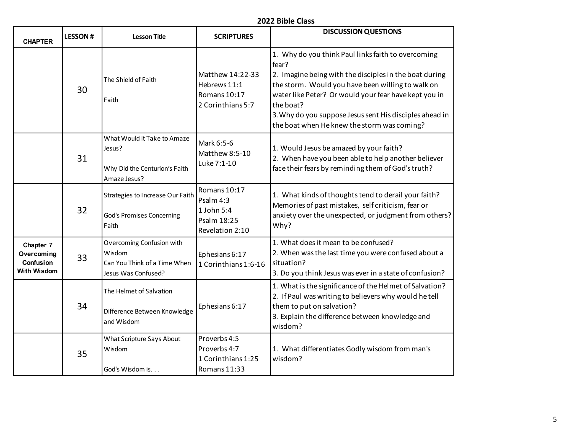| <b>CHAPTER</b>                                             | <b>LESSON#</b> | <b>Lesson Title</b>                                                                        | <b>SCRIPTURES</b>                                                         | <b>DISCUSSION QUESTIONS</b>                                                                                                                                                                                                                                                                                                                                |
|------------------------------------------------------------|----------------|--------------------------------------------------------------------------------------------|---------------------------------------------------------------------------|------------------------------------------------------------------------------------------------------------------------------------------------------------------------------------------------------------------------------------------------------------------------------------------------------------------------------------------------------------|
|                                                            | 30             | The Shield of Faith<br>Faith                                                               | Matthew 14:22-33<br>Hebrews 11:1<br>Romans 10:17<br>2 Corinthians 5:7     | 1. Why do you think Paul links faith to overcoming<br>fear?<br>2. Imagine being with the disciples in the boat during<br>the storm. Would you have been willing to walk on<br>water like Peter? Or would your fear have kept you in<br>the boat?<br>3. Why do you suppose Jesus sent His disciples ahead in<br>the boat when He knew the storm was coming? |
|                                                            | 31             | What Would it Take to Amaze<br>Jesus?<br>Why Did the Centurion's Faith<br>Amaze Jesus?     | Mark 6:5-6<br>Matthew 8:5-10<br>Luke 7:1-10                               | 1. Would Jesus be amazed by your faith?<br>2. When have you been able to help another believer<br>face their fears by reminding them of God's truth?                                                                                                                                                                                                       |
|                                                            | 32             | Strategies to Increase Our Faith<br><b>God's Promises Concerning</b><br>Faith              | Romans 10:17<br>Psalm 4:3<br>1 John 5:4<br>Psalm 18:25<br>Revelation 2:10 | 1. What kinds of thoughts tend to derail your faith?<br>Memories of past mistakes, self criticism, fear or<br>anxiety over the unexpected, or judgment from others?<br>Why?                                                                                                                                                                                |
| Chapter 7<br>Overcoming<br>Confusion<br><b>With Wisdom</b> | 33             | Overcoming Confusion with<br>Wisdom<br>Can You Think of a Time When<br>Jesus Was Confused? | Ephesians 6:17<br>1 Corinthians 1:6-16                                    | 1. What does it mean to be confused?<br>2. When was the last time you were confused about a<br>situation?<br>3. Do you think Jesus was ever in a state of confusion?                                                                                                                                                                                       |
|                                                            | 34             | The Helmet of Salvation<br>Difference Between Knowledge<br>and Wisdom                      | Ephesians 6:17                                                            | 1. What is the significance of the Helmet of Salvation?<br>2. If Paul was writing to believers why would he tell<br>them to put on salvation?<br>3. Explain the difference between knowledge and<br>wisdom?                                                                                                                                                |
|                                                            | 35             | What Scripture Says About<br>Wisdom<br>God's Wisdom is                                     | Proverbs 4:5<br>Proverbs 4:7<br>1 Corinthians 1:25<br>Romans 11:33        | 1. What differentiates Godly wisdom from man's<br>wisdom?                                                                                                                                                                                                                                                                                                  |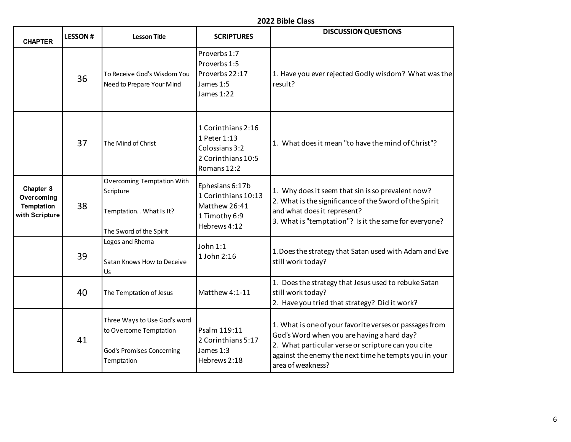| <b>CHAPTER</b>                                                 | <b>LESSON#</b> | <b>Lesson Title</b>                                                                                      | <b>SCRIPTURES</b>                                                                         | <b>DISCUSSION QUESTIONS</b>                                                                                                                                                                                                               |
|----------------------------------------------------------------|----------------|----------------------------------------------------------------------------------------------------------|-------------------------------------------------------------------------------------------|-------------------------------------------------------------------------------------------------------------------------------------------------------------------------------------------------------------------------------------------|
|                                                                | 36             | To Receive God's Wisdom You<br>Need to Prepare Your Mind                                                 | Proverbs 1:7<br>Proverbs 1:5<br>Proverbs 22:17<br>James 1:5<br>James 1:22                 | 1. Have you ever rejected Godly wisdom? What was the<br>result?                                                                                                                                                                           |
|                                                                | 37             | The Mind of Christ                                                                                       | 1 Corinthians 2:16<br>1 Peter 1:13<br>Colossians 3:2<br>2 Corinthians 10:5<br>Romans 12:2 | 1. What does it mean "to have the mind of Christ"?                                                                                                                                                                                        |
| Chapter 8<br>Overcoming<br><b>Temptation</b><br>with Scripture | 38             | <b>Overcoming Temptation With</b><br>Scripture<br>Temptation What Is It?<br>The Sword of the Spirit      | Ephesians 6:17b<br>1 Corinthians 10:13<br>Matthew 26:41<br>1 Timothy 6:9<br>Hebrews 4:12  | 1. Why does it seem that sin is so prevalent now?<br>2. What is the significance of the Sword of the Spirit<br>and what does it represent?<br>3. What is "temptation"? Is it the same for everyone?                                       |
|                                                                | 39             | Logos and Rhema<br>Satan Knows How to Deceive<br>Us                                                      | John 1:1<br>1 John 2:16                                                                   | 1. Does the strategy that Satan used with Adam and Eve<br>still work today?                                                                                                                                                               |
|                                                                | 40             | The Temptation of Jesus                                                                                  | Matthew 4:1-11                                                                            | 1. Does the strategy that Jesus used to rebuke Satan<br>still work today?<br>2. Have you tried that strategy? Did it work?                                                                                                                |
|                                                                | 41             | Three Ways to Use God's word<br>to Overcome Temptation<br><b>God's Promises Concerning</b><br>Temptation | Psalm 119:11<br>2 Corinthians 5:17<br>James 1:3<br>Hebrews 2:18                           | 1. What is one of your favorite verses or passages from<br>God's Word when you are having a hard day?<br>2. What particular verse or scripture can you cite<br>against the enemy the next time he tempts you in your<br>area of weakness? |